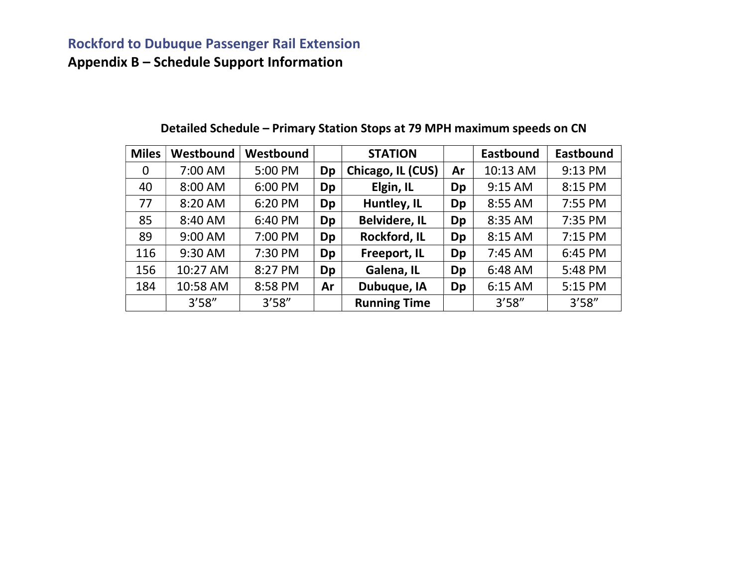# Rockford to Dubuque Passenger Rail Extension

Appendix B – Schedule Support Information

| <b>Miles</b> | Westbound | Westbound |    | <b>STATION</b>       |    | <b>Eastbound</b> | Eastbound |
|--------------|-----------|-----------|----|----------------------|----|------------------|-----------|
| 0            | 7:00 AM   | 5:00 PM   | Dp | Chicago, IL (CUS)    | Ar | 10:13 AM         | 9:13 PM   |
| 40           | 8:00 AM   | 6:00 PM   | Dp | Elgin, IL            | Dp | 9:15 AM          | 8:15 PM   |
| 77           | 8:20 AM   | 6:20 PM   | Dp | Huntley, IL          | Dp | 8:55 AM          | 7:55 PM   |
| 85           | 8:40 AM   | 6:40 PM   | Dp | <b>Belvidere, IL</b> | Dp | 8:35 AM          | 7:35 PM   |
| 89           | 9:00 AM   | 7:00 PM   | Dp | Rockford, IL         | Dp | 8:15 AM          | 7:15 PM   |
| 116          | 9:30 AM   | 7:30 PM   | Dp | Freeport, IL         | Dp | 7:45 AM          | 6:45 PM   |
| 156          | 10:27 AM  | 8:27 PM   | Dp | Galena, IL           | Dp | 6:48 AM          | 5:48 PM   |
| 184          | 10:58 AM  | 8:58 PM   | Ar | Dubuque, IA          | Dp | 6:15 AM          | 5:15 PM   |
|              | 3'58''    | 3'58''    |    | <b>Running Time</b>  |    | 3'58''           | 3'58''    |

### Detailed Schedule – Primary Station Stops at 79 MPH maximum speeds on CN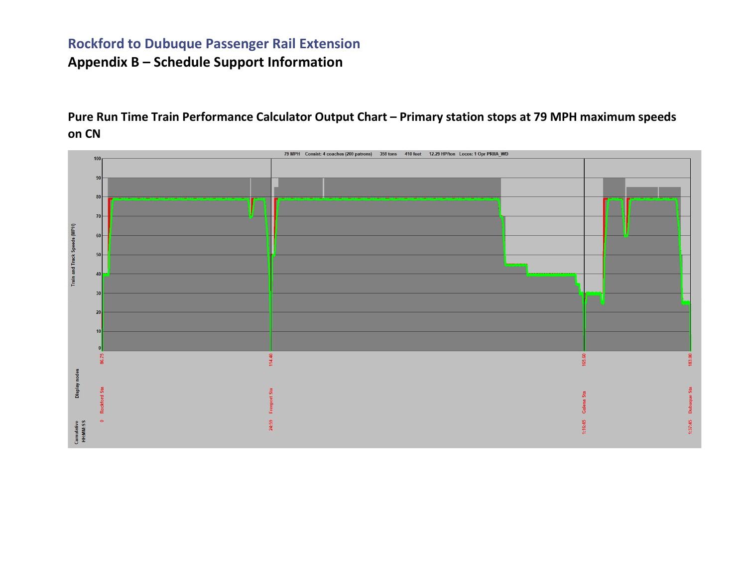Pure Run Time Train Performance Calculator Output Chart – Primary station stops at 79 MPH maximum speeds on CN

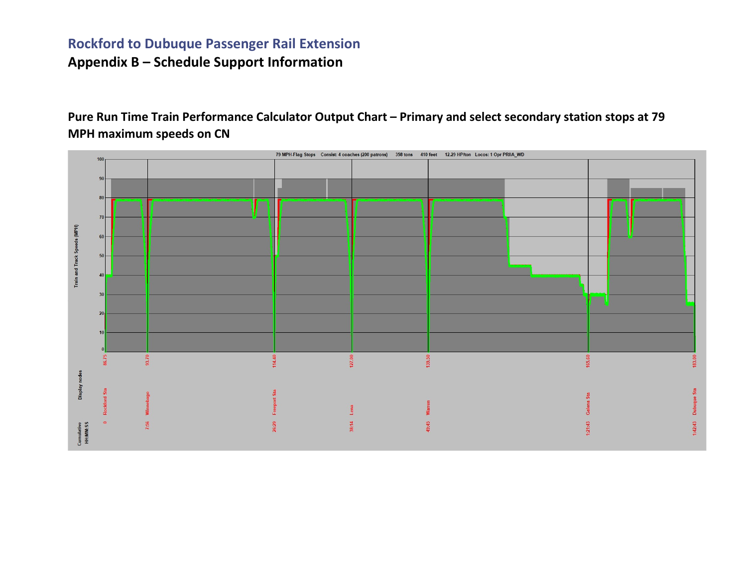Pure Run Time Train Performance Calculator Output Chart – Primary and select secondary station stops at 79 MPH maximum speeds on CN

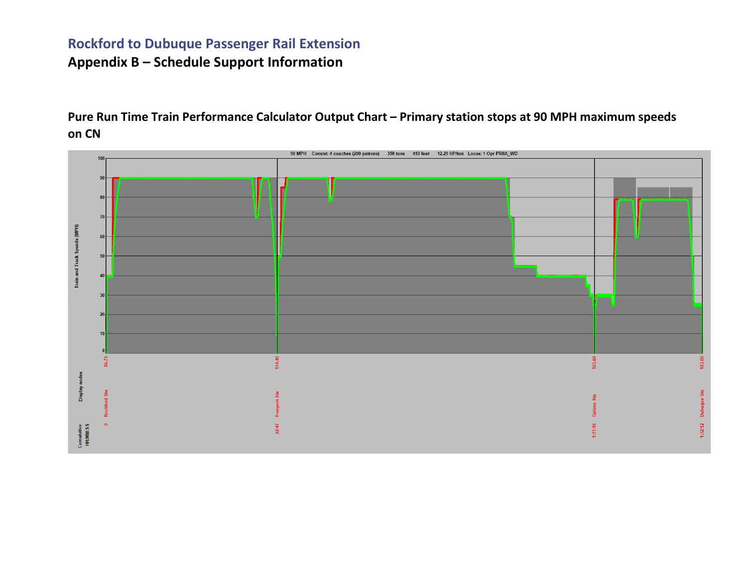Pure Run Time Train Performance Calculator Output Chart – Primary station stops at 90 MPH maximum speeds on CN